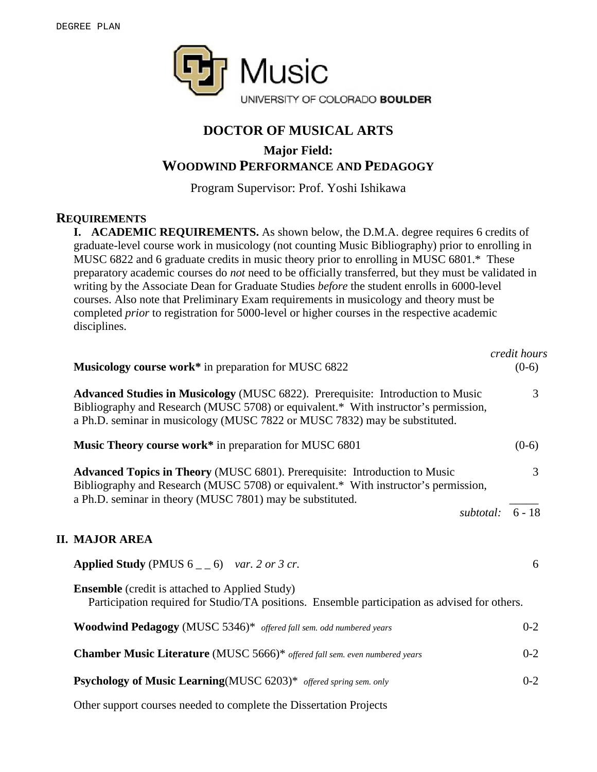

## **DOCTOR OF MUSICAL ARTS**

# **Major Field:**

### **WOODWIND PERFORMANCE AND PEDAGOGY**

Program Supervisor: Prof. Yoshi Ishikawa

### **REQUIREMENTS**

**I. ACADEMIC REQUIREMENTS.** As shown below, the D.M.A. degree requires 6 credits of graduate-level course work in musicology (not counting Music Bibliography) prior to enrolling in MUSC 6822 and 6 graduate credits in music theory prior to enrolling in MUSC 6801.\* These preparatory academic courses do *not* need to be officially transferred, but they must be validated in writing by the Associate Dean for Graduate Studies *before* the student enrolls in 6000-level courses. Also note that Preliminary Exam requirements in musicology and theory must be completed *prior* to registration for 5000-level or higher courses in the respective academic disciplines. With the approval of the approval of the approximation advisory committee members,  $\mathcal{L}$ 

| Musicology course work* in preparation for MUSC 6822                                                                                                                                                                                                 | credit hours<br>$(0-6)$ |
|------------------------------------------------------------------------------------------------------------------------------------------------------------------------------------------------------------------------------------------------------|-------------------------|
| Advanced Studies in Musicology (MUSC 6822). Prerequisite: Introduction to Music<br>Bibliography and Research (MUSC 5708) or equivalent.* With instructor's permission,<br>a Ph.D. seminar in musicology (MUSC 7822 or MUSC 7832) may be substituted. | 3                       |
| Music Theory course work* in preparation for MUSC 6801                                                                                                                                                                                               | $(0-6)$                 |
| Advanced Topics in Theory (MUSC 6801). Prerequisite: Introduction to Music<br>Bibliography and Research (MUSC 5708) or equivalent.* With instructor's permission,<br>a Ph.D. seminar in theory (MUSC 7801) may be substituted.                       | 3                       |
|                                                                                                                                                                                                                                                      | subtotal: $6 - 18$      |
| <b>II. MAJOR AREA</b>                                                                                                                                                                                                                                |                         |
| <b>Applied Study</b> (PMUS $6 \_ 6$ ) var. 2 or 3 cr.                                                                                                                                                                                                | 6                       |
| <b>Ensemble</b> (credit is attached to Applied Study)<br>Participation required for Studio/TA positions. Ensemble participation as advised for others.                                                                                               |                         |
| <b>Woodwind Pedagogy</b> (MUSC 5346)* offered fall sem. odd numbered years                                                                                                                                                                           | $0 - 2$                 |
| Chamber Music Literature (MUSC 5666)* offered fall sem. even numbered years                                                                                                                                                                          | $0 - 2$                 |
| <b>Psychology of Music Learning</b> (MUSC 6203)* offered spring sem. only                                                                                                                                                                            | $0 - 2$                 |
| $\mathbf{r}$ and $\mathbf{r}$ and $\mathbf{r}$ and $\mathbf{r}$ and $\mathbf{r}$ and $\mathbf{r}$ and $\mathbf{r}$ and $\mathbf{r}$                                                                                                                  |                         |

Other support courses needed to complete the Dissertation Projects